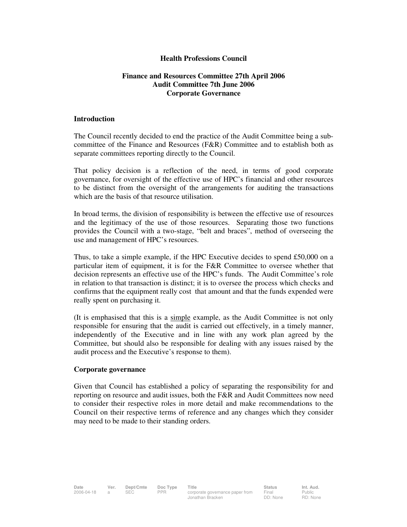## **Health Professions Council**

## **Finance and Resources Committee 27th April 2006 Audit Committee 7th June 2006 Corporate Governance**

## **Introduction**

The Council recently decided to end the practice of the Audit Committee being a subcommittee of the Finance and Resources (F&R) Committee and to establish both as separate committees reporting directly to the Council.

That policy decision is a reflection of the need, in terms of good corporate governance, for oversight of the effective use of HPC's financial and other resources to be distinct from the oversight of the arrangements for auditing the transactions which are the basis of that resource utilisation.

In broad terms, the division of responsibility is between the effective use of resources and the legitimacy of the use of those resources. Separating those two functions provides the Council with a two-stage, "belt and braces", method of overseeing the use and management of HPC's resources.

Thus, to take a simple example, if the HPC Executive decides to spend £50,000 on a particular item of equipment, it is for the F&R Committee to oversee whether that decision represents an effective use of the HPC's funds. The Audit Committee's role in relation to that transaction is distinct; it is to oversee the process which checks and confirms that the equipment really cost that amount and that the funds expended were really spent on purchasing it.

(It is emphasised that this is a simple example, as the Audit Committee is not only responsible for ensuring that the audit is carried out effectively, in a timely manner, independently of the Executive and in line with any work plan agreed by the Committee, but should also be responsible for dealing with any issues raised by the audit process and the Executive's response to them).

## **Corporate governance**

Given that Council has established a policy of separating the responsibility for and reporting on resource and audit issues, both the F&R and Audit Committees now need to consider their respective roles in more detail and make recommendations to the Council on their respective terms of reference and any changes which they consider may need to be made to their standing orders.